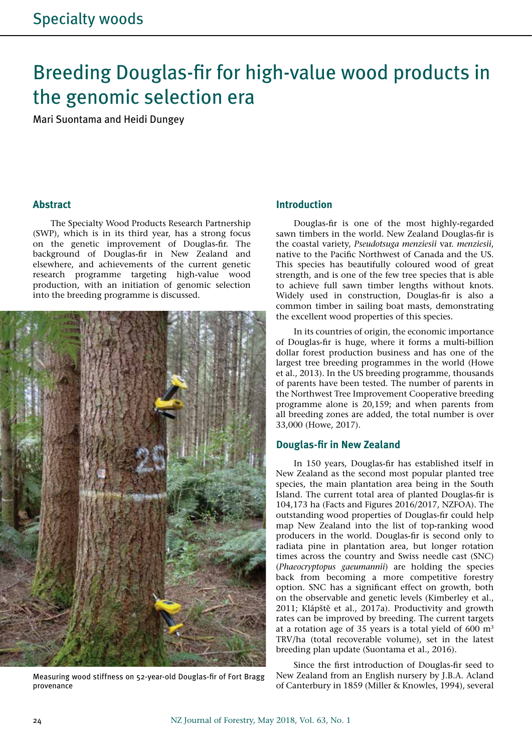# Breeding Douglas-fir for high-value wood products in the genomic selection era

Mari Suontama and Heidi Dungey

#### **Abstract**

The Specialty Wood Products Research Partnership (SWP), which is in its third year, has a strong focus on the genetic improvement of Douglas-fir. The background of Douglas-fir in New Zealand and elsewhere, and achievements of the current genetic research programme targeting high-value wood production, with an initiation of genomic selection into the breeding programme is discussed.



Measuring wood stiffness on 52-year-old Douglas-fir of Fort Bragg provenance

## **Introduction**

Douglas-fir is one of the most highly-regarded sawn timbers in the world. New Zealand Douglas-fir is the coastal variety, *Pseudotsuga menziesii* var. *menziesii*, native to the Pacific Northwest of Canada and the US. This species has beautifully coloured wood of great strength, and is one of the few tree species that is able to achieve full sawn timber lengths without knots. Widely used in construction, Douglas-fir is also a common timber in sailing boat masts, demonstrating the excellent wood properties of this species.

In its countries of origin, the economic importance of Douglas-fir is huge, where it forms a multi-billion dollar forest production business and has one of the largest tree breeding programmes in the world (Howe et al., 2013). In the US breeding programme, thousands of parents have been tested. The number of parents in the Northwest Tree Improvement Cooperative breeding programme alone is 20,159; and when parents from all breeding zones are added, the total number is over 33,000 (Howe, 2017).

#### **Douglas-fir in New Zealand**

In 150 years, Douglas-fir has established itself in New Zealand as the second most popular planted tree species, the main plantation area being in the South Island. The current total area of planted Douglas-fir is 104,173 ha (Facts and Figures 2016/2017, NZFOA). The outstanding wood properties of Douglas-fir could help map New Zealand into the list of top-ranking wood producers in the world. Douglas-fir is second only to radiata pine in plantation area, but longer rotation times across the country and Swiss needle cast (SNC) (*Phaeocryptopus gaeumannii*) are holding the species back from becoming a more competitive forestry option. SNC has a significant effect on growth, both on the observable and genetic levels (Kimberley et al., 2011; Klápště et al., 2017a). Productivity and growth rates can be improved by breeding. The current targets at a rotation age of 35 years is a total yield of  $600 \text{ m}^3$ TRV/ha (total recoverable volume), set in the latest breeding plan update (Suontama et al., 2016).

Since the first introduction of Douglas-fir seed to New Zealand from an English nursery by J.B.A. Acland of Canterbury in 1859 (Miller & Knowles, 1994), several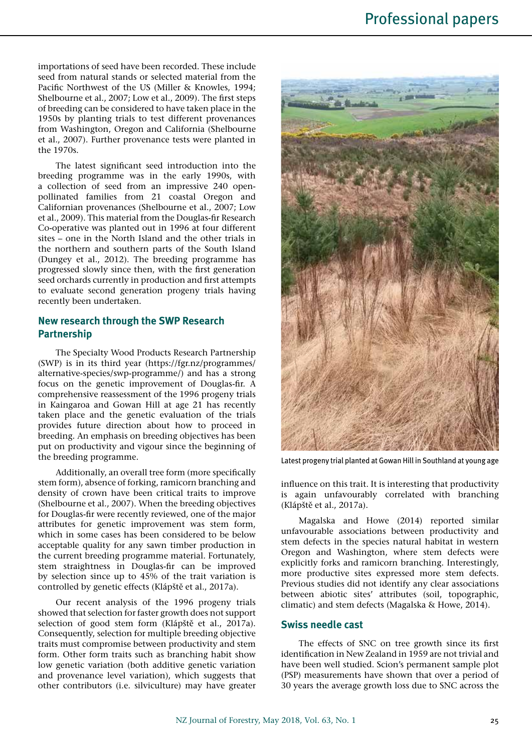importations of seed have been recorded. These include seed from natural stands or selected material from the Pacific Northwest of the US (Miller & Knowles, 1994; Shelbourne et al., 2007; Low et al., 2009). The first steps of breeding can be considered to have taken place in the 1950s by planting trials to test different provenances from Washington, Oregon and California (Shelbourne et al., 2007). Further provenance tests were planted in the 1970s.

The latest significant seed introduction into the breeding programme was in the early 1990s, with a collection of seed from an impressive 240 openpollinated families from 21 coastal Oregon and Californian provenances (Shelbourne et al., 2007; Low et al., 2009). This material from the Douglas-fir Research Co-operative was planted out in 1996 at four different sites – one in the North Island and the other trials in the northern and southern parts of the South Island (Dungey et al., 2012). The breeding programme has progressed slowly since then, with the first generation seed orchards currently in production and first attempts to evaluate second generation progeny trials having recently been undertaken.

## **New research through the SWP Research Partnership**

The Specialty Wood Products Research Partnership (SWP) is in its third year (https://fgr.nz/programmes/ alternative-species/swp-programme/) and has a strong focus on the genetic improvement of Douglas-fir. A comprehensive reassessment of the 1996 progeny trials in Kaingaroa and Gowan Hill at age 21 has recently taken place and the genetic evaluation of the trials provides future direction about how to proceed in breeding. An emphasis on breeding objectives has been put on productivity and vigour since the beginning of the breeding programme.

Additionally, an overall tree form (more specifically stem form), absence of forking, ramicorn branching and density of crown have been critical traits to improve (Shelbourne et al., 2007). When the breeding objectives for Douglas-fir were recently reviewed, one of the major attributes for genetic improvement was stem form, which in some cases has been considered to be below acceptable quality for any sawn timber production in the current breeding programme material. Fortunately, stem straightness in Douglas-fir can be improved by selection since up to 45% of the trait variation is controlled by genetic effects (Klápště et al., 2017a).

Our recent analysis of the 1996 progeny trials showed that selection for faster growth does not support selection of good stem form (Klápště et al., 2017a). Consequently, selection for multiple breeding objective traits must compromise between productivity and stem form. Other form traits such as branching habit show low genetic variation (both additive genetic variation and provenance level variation), which suggests that other contributors (i.e. silviculture) may have greater



Latest progeny trial planted at Gowan Hill in Southland at young age

influence on this trait. It is interesting that productivity is again unfavourably correlated with branching (Klápště et al., 2017a).

Magalska and Howe (2014) reported similar unfavourable associations between productivity and stem defects in the species natural habitat in western Oregon and Washington, where stem defects were explicitly forks and ramicorn branching. Interestingly, more productive sites expressed more stem defects. Previous studies did not identify any clear associations between abiotic sites' attributes (soil, topographic, climatic) and stem defects (Magalska & Howe, 2014).

#### **Swiss needle cast**

The effects of SNC on tree growth since its first identification in New Zealand in 1959 are not trivial and have been well studied. Scion's permanent sample plot (PSP) measurements have shown that over a period of 30 years the average growth loss due to SNC across the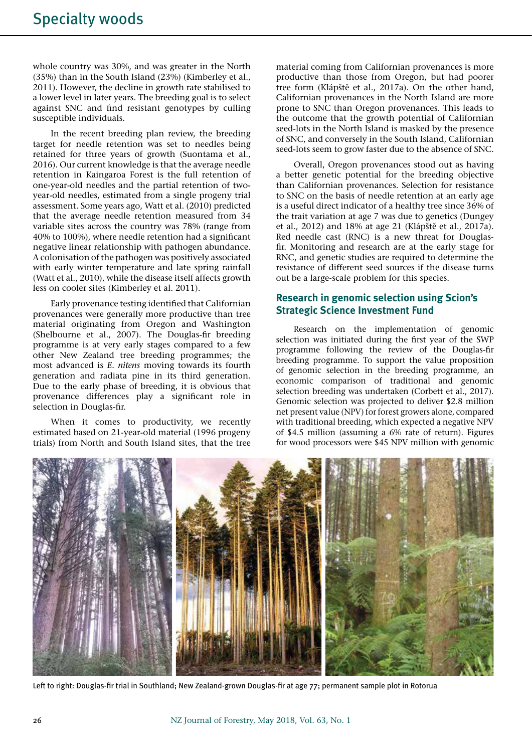whole country was 30%, and was greater in the North (35%) than in the South Island (23%) (Kimberley et al., 2011). However, the decline in growth rate stabilised to a lower level in later years. The breeding goal is to select against SNC and find resistant genotypes by culling susceptible individuals.

In the recent breeding plan review, the breeding target for needle retention was set to needles being retained for three years of growth (Suontama et al., 2016). Our current knowledge is that the average needle retention in Kaingaroa Forest is the full retention of one-year-old needles and the partial retention of twoyear-old needles, estimated from a single progeny trial assessment. Some years ago, Watt et al. (2010) predicted that the average needle retention measured from 34 variable sites across the country was 78% (range from 40% to 100%), where needle retention had a significant negative linear relationship with pathogen abundance. A colonisation of the pathogen was positively associated with early winter temperature and late spring rainfall (Watt et al., 2010), while the disease itself affects growth less on cooler sites (Kimberley et al. 2011).

Early provenance testing identified that Californian provenances were generally more productive than tree material originating from Oregon and Washington (Shelbourne et al., 2007). The Douglas-fir breeding programme is at very early stages compared to a few other New Zealand tree breeding programmes; the most advanced is *E. nitens* moving towards its fourth generation and radiata pine in its third generation. Due to the early phase of breeding, it is obvious that provenance differences play a significant role in selection in Douglas-fir.

When it comes to productivity, we recently estimated based on 21-year-old material (1996 progeny trials) from North and South Island sites, that the tree

material coming from Californian provenances is more productive than those from Oregon, but had poorer tree form (Klápště et al., 2017a). On the other hand, Californian provenances in the North Island are more prone to SNC than Oregon provenances. This leads to the outcome that the growth potential of Californian seed-lots in the North Island is masked by the presence of SNC, and conversely in the South Island, Californian seed-lots seem to grow faster due to the absence of SNC.

Overall, Oregon provenances stood out as having a better genetic potential for the breeding objective than Californian provenances. Selection for resistance to SNC on the basis of needle retention at an early age is a useful direct indicator of a healthy tree since 36% of the trait variation at age 7 was due to genetics (Dungey et al., 2012) and 18% at age 21 (Klápště et al., 2017a). Red needle cast (RNC) is a new threat for Douglasfir. Monitoring and research are at the early stage for RNC, and genetic studies are required to determine the resistance of different seed sources if the disease turns out be a large-scale problem for this species.

# **Research in genomic selection using Scion's Strategic Science Investment Fund**

Research on the implementation of genomic selection was initiated during the first year of the SWP programme following the review of the Douglas-fir breeding programme. To support the value proposition of genomic selection in the breeding programme, an economic comparison of traditional and genomic selection breeding was undertaken (Corbett et al., 2017). Genomic selection was projected to deliver \$2.8 million net present value (NPV) for forest growers alone, compared with traditional breeding, which expected a negative NPV of \$4.5 million (assuming a 6% rate of return). Figures for wood processors were \$45 NPV million with genomic



Left to right: Douglas-fir trial in Southland; New Zealand-grown Douglas-fir at age 77; permanent sample plot in Rotorua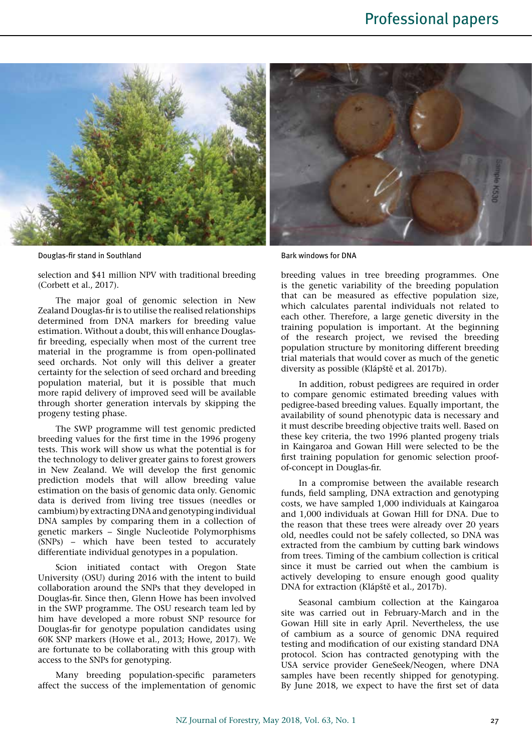

Douglas-fir stand in Southland Bark windows for DNA

selection and \$41 million NPV with traditional breeding (Corbett et al., 2017).

The major goal of genomic selection in New Zealand Douglas-fir is to utilise the realised relationships determined from DNA markers for breeding value estimation. Without a doubt, this will enhance Douglasfir breeding, especially when most of the current tree material in the programme is from open-pollinated seed orchards. Not only will this deliver a greater certainty for the selection of seed orchard and breeding population material, but it is possible that much more rapid delivery of improved seed will be available through shorter generation intervals by skipping the progeny testing phase.

The SWP programme will test genomic predicted breeding values for the first time in the 1996 progeny tests. This work will show us what the potential is for the technology to deliver greater gains to forest growers in New Zealand. We will develop the first genomic prediction models that will allow breeding value estimation on the basis of genomic data only. Genomic data is derived from living tree tissues (needles or cambium) by extracting DNA and genotyping individual DNA samples by comparing them in a collection of genetic markers – Single Nucleotide Polymorphisms (SNPs) – which have been tested to accurately differentiate individual genotypes in a population.

Scion initiated contact with Oregon State University (OSU) during 2016 with the intent to build collaboration around the SNPs that they developed in Douglas-fir. Since then, Glenn Howe has been involved in the SWP programme. The OSU research team led by him have developed a more robust SNP resource for Douglas-fir for genotype population candidates using 60K SNP markers (Howe et al., 2013; Howe, 2017). We are fortunate to be collaborating with this group with access to the SNPs for genotyping.

Many breeding population-specific parameters affect the success of the implementation of genomic

breeding values in tree breeding programmes. One is the genetic variability of the breeding population that can be measured as effective population size, which calculates parental individuals not related to each other. Therefore, a large genetic diversity in the training population is important. At the beginning of the research project, we revised the breeding population structure by monitoring different breeding trial materials that would cover as much of the genetic diversity as possible (Klápště et al. 2017b).

In addition, robust pedigrees are required in order to compare genomic estimated breeding values with pedigree-based breeding values. Equally important, the availability of sound phenotypic data is necessary and it must describe breeding objective traits well. Based on these key criteria, the two 1996 planted progeny trials in Kaingaroa and Gowan Hill were selected to be the first training population for genomic selection proofof-concept in Douglas-fir.

In a compromise between the available research funds, field sampling, DNA extraction and genotyping costs, we have sampled 1,000 individuals at Kaingaroa and 1,000 individuals at Gowan Hill for DNA. Due to the reason that these trees were already over 20 years old, needles could not be safely collected, so DNA was extracted from the cambium by cutting bark windows from trees. Timing of the cambium collection is critical since it must be carried out when the cambium is actively developing to ensure enough good quality DNA for extraction (Klápště et al., 2017b).

Seasonal cambium collection at the Kaingaroa site was carried out in February-March and in the Gowan Hill site in early April. Nevertheless, the use of cambium as a source of genomic DNA required testing and modification of our existing standard DNA protocol. Scion has contracted genotyping with the USA service provider GeneSeek/Neogen, where DNA samples have been recently shipped for genotyping. By June 2018, we expect to have the first set of data